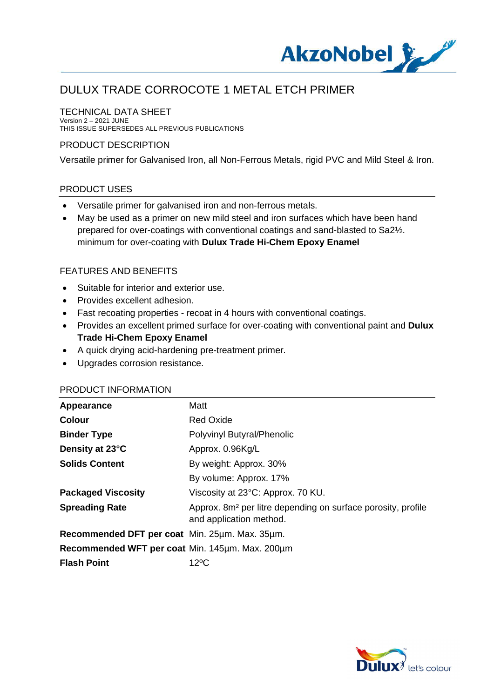

#### TECHNICAL DATA SHEET

Version 2 – 2021 JUNE THIS ISSUE SUPERSEDES ALL PREVIOUS PUBLICATIONS

#### PRODUCT DESCRIPTION

Versatile primer for Galvanised Iron, all Non-Ferrous Metals, rigid PVC and Mild Steel & Iron.

#### PRODUCT USES

- · Versatile primer for galvanised iron and non-ferrous metals.
- · May be used as a primer on new mild steel and iron surfaces which have been hand prepared for over-coatings with conventional coatings and sand-blasted to Sa2½. minimum for over-coating with **Dulux Trade Hi-Chem Epoxy Enamel**

### FEATURES AND BENEFITS

- · Suitable for interior and exterior use.
- · Provides excellent adhesion.
- Fast recoating properties recoat in 4 hours with conventional coatings.
- · Provides an excellent primed surface for over-coating with conventional paint and **Dulux Trade Hi-Chem Epoxy Enamel**
- · A quick drying acid-hardening pre-treatment primer.
- · Upgrades corrosion resistance.

#### PRODUCT INFORMATION

| Appearance                                      | Matt                                                                                                |
|-------------------------------------------------|-----------------------------------------------------------------------------------------------------|
| <b>Colour</b>                                   | <b>Red Oxide</b>                                                                                    |
| <b>Binder Type</b>                              | Polyvinyl Butyral/Phenolic                                                                          |
| Density at 23°C                                 | Approx. 0.96Kg/L                                                                                    |
| <b>Solids Content</b>                           | By weight: Approx. 30%                                                                              |
|                                                 | By volume: Approx. 17%                                                                              |
| <b>Packaged Viscosity</b>                       | Viscosity at 23°C: Approx. 70 KU.                                                                   |
| <b>Spreading Rate</b>                           | Approx. 8m <sup>2</sup> per litre depending on surface porosity, profile<br>and application method. |
| Recommended DFT per coat Min. 25um. Max. 35um.  |                                                                                                     |
| Recommended WFT per coat Min. 145um. Max. 200um |                                                                                                     |
| <b>Flash Point</b>                              | $12^{\circ}$ C                                                                                      |

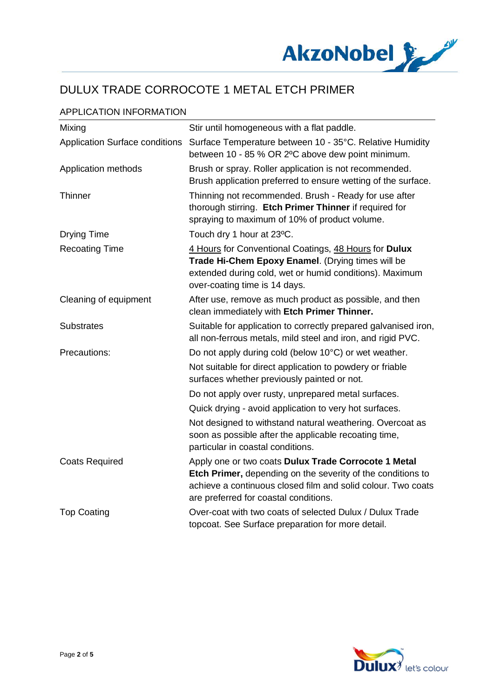

### APPLICATION INFORMATION

| Mixing                                | Stir until homogeneous with a flat paddle.                                                                                                                                                                                   |
|---------------------------------------|------------------------------------------------------------------------------------------------------------------------------------------------------------------------------------------------------------------------------|
| <b>Application Surface conditions</b> | Surface Temperature between 10 - 35°C. Relative Humidity<br>between 10 - 85 % OR 2°C above dew point minimum.                                                                                                                |
| Application methods                   | Brush or spray. Roller application is not recommended.<br>Brush application preferred to ensure wetting of the surface.                                                                                                      |
| <b>Thinner</b>                        | Thinning not recommended. Brush - Ready for use after<br>thorough stirring. Etch Primer Thinner if required for<br>spraying to maximum of 10% of product volume.                                                             |
| <b>Drying Time</b>                    | Touch dry 1 hour at 23°C.                                                                                                                                                                                                    |
| <b>Recoating Time</b>                 | 4 Hours for Conventional Coatings, 48 Hours for Dulux<br>Trade Hi-Chem Epoxy Enamel. (Drying times will be<br>extended during cold, wet or humid conditions). Maximum<br>over-coating time is 14 days.                       |
| Cleaning of equipment                 | After use, remove as much product as possible, and then<br>clean immediately with Etch Primer Thinner.                                                                                                                       |
| <b>Substrates</b>                     | Suitable for application to correctly prepared galvanised iron,<br>all non-ferrous metals, mild steel and iron, and rigid PVC.                                                                                               |
| Precautions:                          | Do not apply during cold (below 10°C) or wet weather.                                                                                                                                                                        |
|                                       | Not suitable for direct application to powdery or friable<br>surfaces whether previously painted or not.                                                                                                                     |
|                                       | Do not apply over rusty, unprepared metal surfaces.                                                                                                                                                                          |
|                                       | Quick drying - avoid application to very hot surfaces.                                                                                                                                                                       |
|                                       | Not designed to withstand natural weathering. Overcoat as<br>soon as possible after the applicable recoating time,<br>particular in coastal conditions.                                                                      |
| <b>Coats Required</b>                 | Apply one or two coats Dulux Trade Corrocote 1 Metal<br>Etch Primer, depending on the severity of the conditions to<br>achieve a continuous closed film and solid colour. Two coats<br>are preferred for coastal conditions. |
| <b>Top Coating</b>                    | Over-coat with two coats of selected Dulux / Dulux Trade<br>topcoat. See Surface preparation for more detail.                                                                                                                |

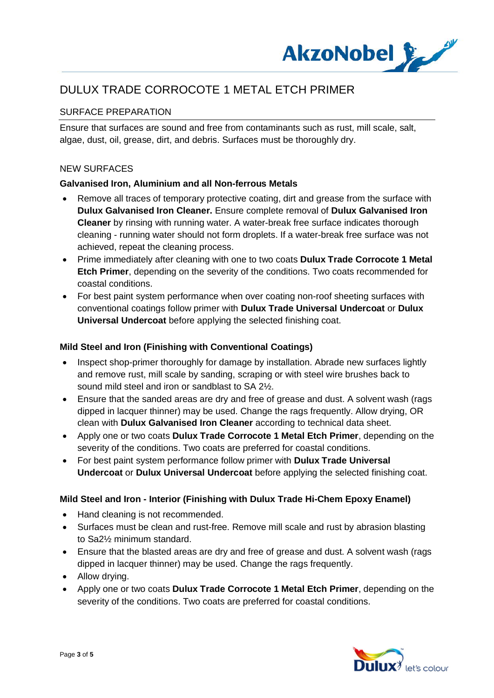

### SURFACE PREPARATION

Ensure that surfaces are sound and free from contaminants such as rust, mill scale, salt, algae, dust, oil, grease, dirt, and debris. Surfaces must be thoroughly dry.

#### NEW SURFACES

#### **Galvanised Iron, Aluminium and all Non-ferrous Metals**

- · Remove all traces of temporary protective coating, dirt and grease from the surface with **Dulux Galvanised Iron Cleaner.** Ensure complete removal of **Dulux Galvanised Iron Cleaner** by rinsing with running water. A water-break free surface indicates thorough cleaning - running water should not form droplets. If a water-break free surface was not achieved, repeat the cleaning process.
- · Prime immediately after cleaning with one to two coats **Dulux Trade Corrocote 1 Metal Etch Primer**, depending on the severity of the conditions. Two coats recommended for coastal conditions.
- · For best paint system performance when over coating non-roof sheeting surfaces with conventional coatings follow primer with **Dulux Trade Universal Undercoat** or **Dulux Universal Undercoat** before applying the selected finishing coat.

#### **Mild Steel and Iron (Finishing with Conventional Coatings)**

- · Inspect shop-primer thoroughly for damage by installation. Abrade new surfaces lightly and remove rust, mill scale by sanding, scraping or with steel wire brushes back to sound mild steel and iron or sandblast to SA 2½.
- · Ensure that the sanded areas are dry and free of grease and dust. A solvent wash (rags dipped in lacquer thinner) may be used. Change the rags frequently. Allow drying, OR clean with **Dulux Galvanised Iron Cleaner** according to technical data sheet.
- · Apply one or two coats **Dulux Trade Corrocote 1 Metal Etch Primer**, depending on the severity of the conditions. Two coats are preferred for coastal conditions.
- · For best paint system performance follow primer with **Dulux Trade Universal Undercoat** or **Dulux Universal Undercoat** before applying the selected finishing coat.

### **Mild Steel and Iron - Interior (Finishing with Dulux Trade Hi-Chem Epoxy Enamel)**

- · Hand cleaning is not recommended.
- · Surfaces must be clean and rust-free. Remove mill scale and rust by abrasion blasting to Sa2½ minimum standard.
- · Ensure that the blasted areas are dry and free of grease and dust. A solvent wash (rags dipped in lacquer thinner) may be used. Change the rags frequently.
- Allow drying.
- · Apply one or two coats **Dulux Trade Corrocote 1 Metal Etch Primer**, depending on the severity of the conditions. Two coats are preferred for coastal conditions.

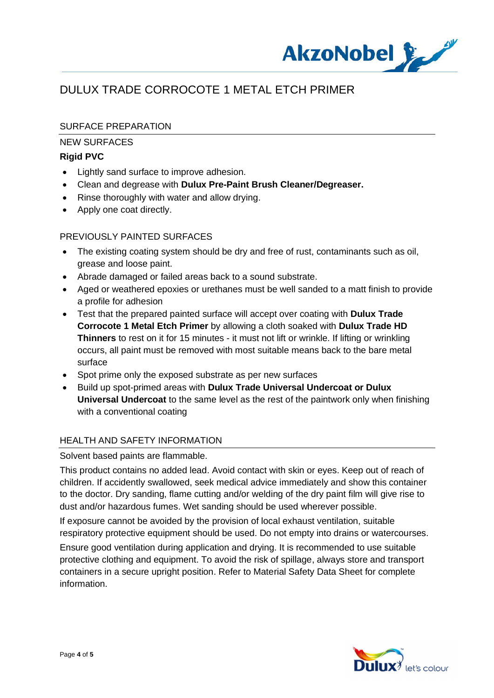

### SURFACE PREPARATION

#### NEW SURFACES

#### **Rigid PVC**

- · Lightly sand surface to improve adhesion.
- · Clean and degrease with **Dulux Pre-Paint Brush Cleaner/Degreaser.**
- Rinse thoroughly with water and allow drying.
- · Apply one coat directly.

### PREVIOUSLY PAINTED SURFACES

- The existing coating system should be dry and free of rust, contaminants such as oil, grease and loose paint.
- · Abrade damaged or failed areas back to a sound substrate.
- · Aged or weathered epoxies or urethanes must be well sanded to a matt finish to provide a profile for adhesion
- · Test that the prepared painted surface will accept over coating with **Dulux Trade Corrocote 1 Metal Etch Primer** by allowing a cloth soaked with **Dulux Trade HD Thinners** to rest on it for 15 minutes - it must not lift or wrinkle. If lifting or wrinkling occurs, all paint must be removed with most suitable means back to the bare metal surface
- · Spot prime only the exposed substrate as per new surfaces
- · Build up spot-primed areas with **Dulux Trade Universal Undercoat or Dulux Universal Undercoat** to the same level as the rest of the paintwork only when finishing with a conventional coating

#### HEALTH AND SAFETY INFORMATION

#### Solvent based paints are flammable.

This product contains no added lead. Avoid contact with skin or eyes. Keep out of reach of children. If accidently swallowed, seek medical advice immediately and show this container to the doctor. Dry sanding, flame cutting and/or welding of the dry paint film will give rise to dust and/or hazardous fumes. Wet sanding should be used wherever possible.

If exposure cannot be avoided by the provision of local exhaust ventilation, suitable respiratory protective equipment should be used. Do not empty into drains or watercourses.

Ensure good ventilation during application and drying. It is recommended to use suitable protective clothing and equipment. To avoid the risk of spillage, always store and transport containers in a secure upright position. Refer to Material Safety Data Sheet for complete information.